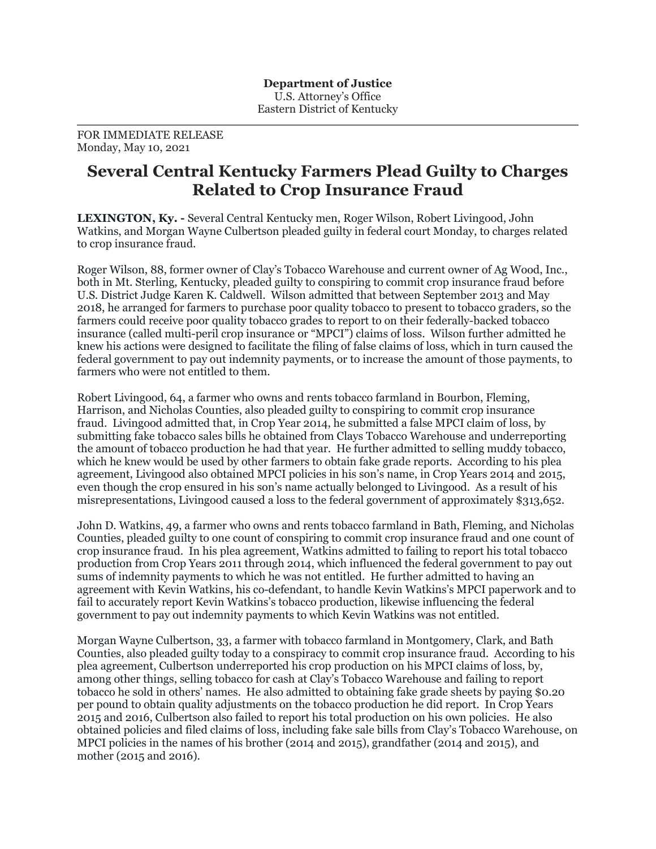## FOR IMMEDIATE RELEASE Monday, May 10, 2021

## **Several Central Kentucky Farmers Plead Guilty to Charges Related to Crop Insurance Fraud**

**LEXINGTON, Ky. -** Several Central Kentucky men, Roger Wilson, Robert Livingood, John Watkins, and Morgan Wayne Culbertson pleaded guilty in federal court Monday, to charges related to crop insurance fraud.

Roger Wilson, 88, former owner of Clay's Tobacco Warehouse and current owner of Ag Wood, Inc., both in Mt. Sterling, Kentucky, pleaded guilty to conspiring to commit crop insurance fraud before U.S. District Judge Karen K. Caldwell. Wilson admitted that between September 2013 and May 2018, he arranged for farmers to purchase poor quality tobacco to present to tobacco graders, so the farmers could receive poor quality tobacco grades to report to on their federally-backed tobacco insurance (called multi-peril crop insurance or "MPCI") claims of loss. Wilson further admitted he knew his actions were designed to facilitate the filing of false claims of loss, which in turn caused the federal government to pay out indemnity payments, or to increase the amount of those payments, to farmers who were not entitled to them.

Robert Livingood, 64, a farmer who owns and rents tobacco farmland in Bourbon, Fleming, Harrison, and Nicholas Counties, also pleaded guilty to conspiring to commit crop insurance fraud. Livingood admitted that, in Crop Year 2014, he submitted a false MPCI claim of loss, by submitting fake tobacco sales bills he obtained from Clays Tobacco Warehouse and underreporting the amount of tobacco production he had that year. He further admitted to selling muddy tobacco, which he knew would be used by other farmers to obtain fake grade reports. According to his plea agreement, Livingood also obtained MPCI policies in his son's name, in Crop Years 2014 and 2015, even though the crop ensured in his son's name actually belonged to Livingood. As a result of his misrepresentations, Livingood caused a loss to the federal government of approximately \$313,652.

John D. Watkins, 49, a farmer who owns and rents tobacco farmland in Bath, Fleming, and Nicholas Counties, pleaded guilty to one count of conspiring to commit crop insurance fraud and one count of crop insurance fraud. In his plea agreement, Watkins admitted to failing to report his total tobacco production from Crop Years 2011 through 2014, which influenced the federal government to pay out sums of indemnity payments to which he was not entitled. He further admitted to having an agreement with Kevin Watkins, his co-defendant, to handle Kevin Watkins's MPCI paperwork and to fail to accurately report Kevin Watkins's tobacco production, likewise influencing the federal government to pay out indemnity payments to which Kevin Watkins was not entitled.

Morgan Wayne Culbertson, 33, a farmer with tobacco farmland in Montgomery, Clark, and Bath Counties, also pleaded guilty today to a conspiracy to commit crop insurance fraud. According to his plea agreement, Culbertson underreported his crop production on his MPCI claims of loss, by, among other things, selling tobacco for cash at Clay's Tobacco Warehouse and failing to report tobacco he sold in others' names. He also admitted to obtaining fake grade sheets by paying \$0.20 per pound to obtain quality adjustments on the tobacco production he did report. In Crop Years 2015 and 2016, Culbertson also failed to report his total production on his own policies. He also obtained policies and filed claims of loss, including fake sale bills from Clay's Tobacco Warehouse, on MPCI policies in the names of his brother (2014 and 2015), grandfather (2014 and 2015), and mother (2015 and 2016).